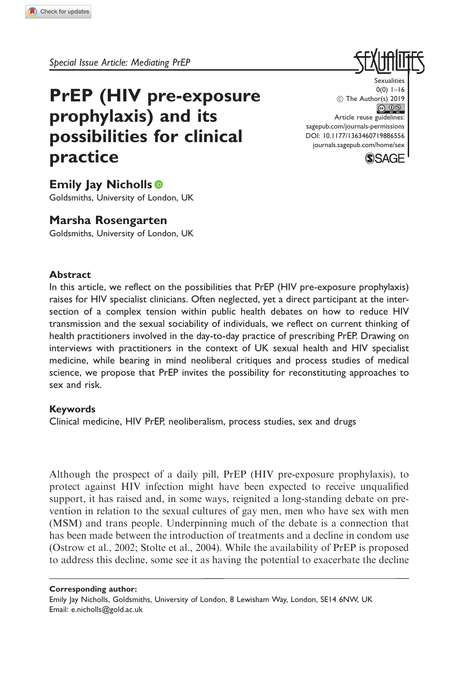# PrEP (HIV pre-exposure prophylaxis) and its possibilities for clinical practice

Sexualities  $0(0)$  1–16  $\circledcirc$  The Author(s) 2019 Article reuse guidelines: [sagepub.com/journals-permissions](https://uk.sagepub.com/en-gb/journals-permissions) DOI: [10.1177/1363460719886556](https://doi.org/10.1177/1363460719886556) <journals.sagepub.com/home/sex>



## Emily Jay Nicholls

Goldsmiths, University of London, UK

## Marsha Rosengarten

Goldsmiths, University of London, UK

## Abstract

In this article, we reflect on the possibilities that PrEP (HIV pre-exposure prophylaxis) raises for HIV specialist clinicians. Often neglected, yet a direct participant at the intersection of a complex tension within public health debates on how to reduce HIV transmission and the sexual sociability of individuals, we reflect on current thinking of health practitioners involved in the day-to-day practice of prescribing PrEP. Drawing on interviews with practitioners in the context of UK sexual health and HIV specialist medicine, while bearing in mind neoliberal critiques and process studies of medical science, we propose that PrEP invites the possibility for reconstituting approaches to sex and risk.

## Keywords

Clinical medicine, HIV PrEP, neoliberalism, process studies, sex and drugs

Although the prospect of a daily pill, PrEP (HIV pre-exposure prophylaxis), to protect against HIV infection might have been expected to receive unqualified support, it has raised and, in some ways, reignited a long-standing debate on prevention in relation to the sexual cultures of gay men, men who have sex with men (MSM) and trans people. Underpinning much of the debate is a connection that has been made between the introduction of treatments and a decline in condom use (Ostrow et al., 2002; Stolte et al., 2004). While the availability of PrEP is proposed to address this decline, some see it as having the potential to exacerbate the decline

Corresponding author:

Emily Jay Nicholls, Goldsmiths, University of London, 8 Lewisham Way, London, SE14 6NW, UK Email: e.nicholls@gold.ac.uk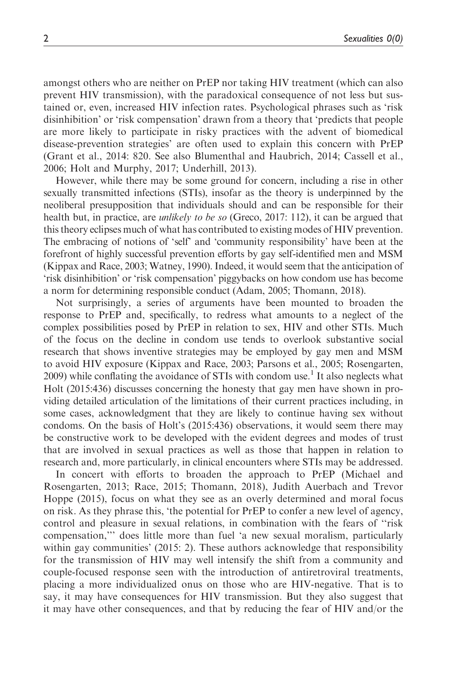amongst others who are neither on PrEP nor taking HIV treatment (which can also prevent HIV transmission), with the paradoxical consequence of not less but sustained or, even, increased HIV infection rates. Psychological phrases such as 'risk disinhibition' or 'risk compensation' drawn from a theory that 'predicts that people are more likely to participate in risky practices with the advent of biomedical disease-prevention strategies' are often used to explain this concern with PrEP (Grant et al., 2014: 820. See also Blumenthal and Haubrich, 2014; Cassell et al., 2006; Holt and Murphy, 2017; Underhill, 2013).

However, while there may be some ground for concern, including a rise in other sexually transmitted infections (STIs), insofar as the theory is underpinned by the neoliberal presupposition that individuals should and can be responsible for their health but, in practice, are *unlikely to be so* (Greco, 2017: 112), it can be argued that this theory eclipses much of what has contributed to existing modes of HIV prevention. The embracing of notions of 'self' and 'community responsibility' have been at the forefront of highly successful prevention efforts by gay self-identified men and MSM (Kippax and Race, 2003; Watney, 1990). Indeed, it would seem that the anticipation of 'risk disinhibition' or 'risk compensation' piggybacks on how condom use has become a norm for determining responsible conduct (Adam, 2005; Thomann, 2018).

Not surprisingly, a series of arguments have been mounted to broaden the response to PrEP and, specifically, to redress what amounts to a neglect of the complex possibilities posed by PrEP in relation to sex, HIV and other STIs. Much of the focus on the decline in condom use tends to overlook substantive social research that shows inventive strategies may be employed by gay men and MSM to avoid HIV exposure (Kippax and Race, 2003; Parsons et al., 2005; Rosengarten,  $2009$ ) while conflating the avoidance of STIs with condom use.<sup>1</sup> It also neglects what Holt (2015:436) discusses concerning the honesty that gay men have shown in providing detailed articulation of the limitations of their current practices including, in some cases, acknowledgment that they are likely to continue having sex without condoms. On the basis of Holt's (2015:436) observations, it would seem there may be constructive work to be developed with the evident degrees and modes of trust that are involved in sexual practices as well as those that happen in relation to research and, more particularly, in clinical encounters where STIs may be addressed.

In concert with efforts to broaden the approach to PrEP (Michael and Rosengarten, 2013; Race, 2015; Thomann, 2018), Judith Auerbach and Trevor Hoppe (2015), focus on what they see as an overly determined and moral focus on risk. As they phrase this, 'the potential for PrEP to confer a new level of agency, control and pleasure in sexual relations, in combination with the fears of ''risk compensation,''' does little more than fuel 'a new sexual moralism, particularly within gay communities' (2015: 2). These authors acknowledge that responsibility for the transmission of HIV may well intensify the shift from a community and couple-focused response seen with the introduction of antiretroviral treatments, placing a more individualized onus on those who are HIV-negative. That is to say, it may have consequences for HIV transmission. But they also suggest that it may have other consequences, and that by reducing the fear of HIV and/or the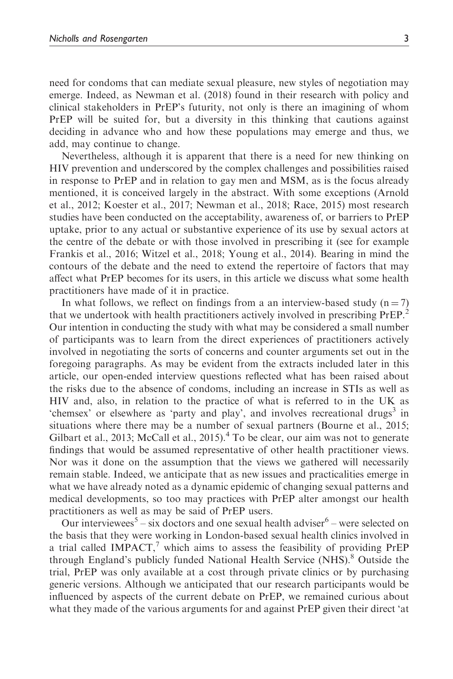need for condoms that can mediate sexual pleasure, new styles of negotiation may emerge. Indeed, as Newman et al. (2018) found in their research with policy and clinical stakeholders in PrEP's futurity, not only is there an imagining of whom PrEP will be suited for, but a diversity in this thinking that cautions against deciding in advance who and how these populations may emerge and thus, we add, may continue to change.

Nevertheless, although it is apparent that there is a need for new thinking on HIV prevention and underscored by the complex challenges and possibilities raised in response to PrEP and in relation to gay men and MSM, as is the focus already mentioned, it is conceived largely in the abstract. With some exceptions (Arnold et al., 2012; Koester et al., 2017; Newman et al., 2018; Race, 2015) most research studies have been conducted on the acceptability, awareness of, or barriers to PrEP uptake, prior to any actual or substantive experience of its use by sexual actors at the centre of the debate or with those involved in prescribing it (see for example Frankis et al., 2016; Witzel et al., 2018; Young et al., 2014). Bearing in mind the contours of the debate and the need to extend the repertoire of factors that may affect what PrEP becomes for its users, in this article we discuss what some health practitioners have made of it in practice.

In what follows, we reflect on findings from a an interview-based study ( $n = 7$ ) that we undertook with health practitioners actively involved in prescribing PrEP.<sup>2</sup> Our intention in conducting the study with what may be considered a small number of participants was to learn from the direct experiences of practitioners actively involved in negotiating the sorts of concerns and counter arguments set out in the foregoing paragraphs. As may be evident from the extracts included later in this article, our open-ended interview questions reflected what has been raised about the risks due to the absence of condoms, including an increase in STIs as well as HIV and, also, in relation to the practice of what is referred to in the UK as 'chemsex' or elsewhere as 'party and play', and involves recreational drugs<sup>3</sup> in situations where there may be a number of sexual partners (Bourne et al., 2015; Gilbart et al., 2013; McCall et al., 2015).<sup>4</sup> To be clear, our aim was not to generate findings that would be assumed representative of other health practitioner views. Nor was it done on the assumption that the views we gathered will necessarily remain stable. Indeed, we anticipate that as new issues and practicalities emerge in what we have already noted as a dynamic epidemic of changing sexual patterns and medical developments, so too may practices with PrEP alter amongst our health practitioners as well as may be said of PrEP users.

Our interviewees<sup>5</sup> – six doctors and one sexual health adviser<sup>6</sup> – were selected on the basis that they were working in London-based sexual health clinics involved in a trial called IMPACT, $^7$  which aims to assess the feasibility of providing PrEP through England's publicly funded National Health Service (NHS).<sup>8</sup> Outside the trial, PrEP was only available at a cost through private clinics or by purchasing generic versions. Although we anticipated that our research participants would be influenced by aspects of the current debate on PrEP, we remained curious about what they made of the various arguments for and against PrEP given their direct 'at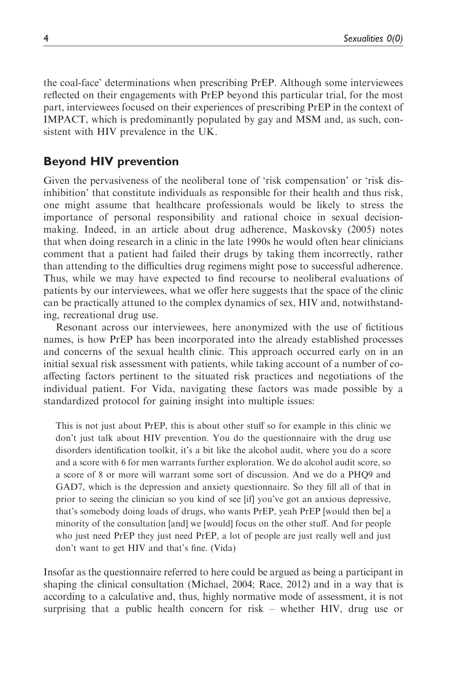the coal-face' determinations when prescribing PrEP. Although some interviewees reflected on their engagements with PrEP beyond this particular trial, for the most part, interviewees focused on their experiences of prescribing PrEP in the context of IMPACT, which is predominantly populated by gay and MSM and, as such, consistent with HIV prevalence in the UK.

## Beyond HIV prevention

Given the pervasiveness of the neoliberal tone of 'risk compensation' or 'risk disinhibition' that constitute individuals as responsible for their health and thus risk, one might assume that healthcare professionals would be likely to stress the importance of personal responsibility and rational choice in sexual decisionmaking. Indeed, in an article about drug adherence, Maskovsky (2005) notes that when doing research in a clinic in the late 1990s he would often hear clinicians comment that a patient had failed their drugs by taking them incorrectly, rather than attending to the difficulties drug regimens might pose to successful adherence. Thus, while we may have expected to find recourse to neoliberal evaluations of patients by our interviewees, what we offer here suggests that the space of the clinic can be practically attuned to the complex dynamics of sex, HIV and, notwithstanding, recreational drug use.

Resonant across our interviewees, here anonymized with the use of fictitious names, is how PrEP has been incorporated into the already established processes and concerns of the sexual health clinic. This approach occurred early on in an initial sexual risk assessment with patients, while taking account of a number of coaffecting factors pertinent to the situated risk practices and negotiations of the individual patient. For Vida, navigating these factors was made possible by a standardized protocol for gaining insight into multiple issues:

This is not just about PrEP, this is about other stuff so for example in this clinic we don't just talk about HIV prevention. You do the questionnaire with the drug use disorders identification toolkit, it's a bit like the alcohol audit, where you do a score and a score with 6 for men warrants further exploration. We do alcohol audit score, so a score of 8 or more will warrant some sort of discussion. And we do a PHQ9 and GAD7, which is the depression and anxiety questionnaire. So they fill all of that in prior to seeing the clinician so you kind of see [if] you've got an anxious depressive, that's somebody doing loads of drugs, who wants PrEP, yeah PrEP [would then be] a minority of the consultation [and] we [would] focus on the other stuff. And for people who just need PrEP they just need PrEP, a lot of people are just really well and just don't want to get HIV and that's fine. (Vida)

Insofar as the questionnaire referred to here could be argued as being a participant in shaping the clinical consultation (Michael, 2004; Race, 2012) and in a way that is according to a calculative and, thus, highly normative mode of assessment, it is not surprising that a public health concern for risk – whether HIV, drug use or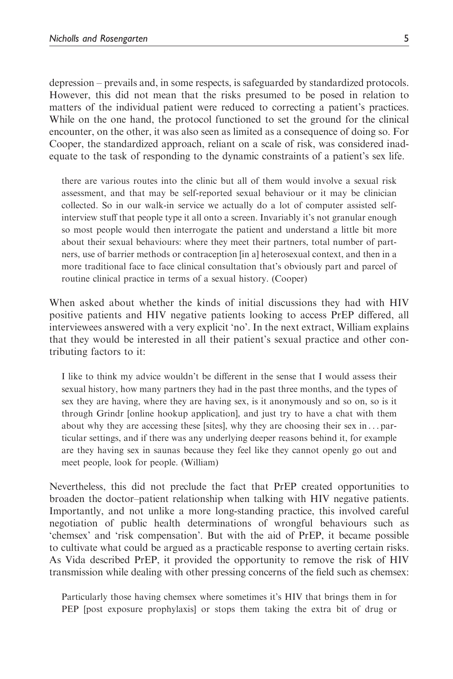depression – prevails and, in some respects, is safeguarded by standardized protocols. However, this did not mean that the risks presumed to be posed in relation to matters of the individual patient were reduced to correcting a patient's practices. While on the one hand, the protocol functioned to set the ground for the clinical encounter, on the other, it was also seen as limited as a consequence of doing so. For Cooper, the standardized approach, reliant on a scale of risk, was considered inadequate to the task of responding to the dynamic constraints of a patient's sex life.

there are various routes into the clinic but all of them would involve a sexual risk assessment, and that may be self-reported sexual behaviour or it may be clinician collected. So in our walk-in service we actually do a lot of computer assisted selfinterview stuff that people type it all onto a screen. Invariably it's not granular enough so most people would then interrogate the patient and understand a little bit more about their sexual behaviours: where they meet their partners, total number of partners, use of barrier methods or contraception [in a] heterosexual context, and then in a more traditional face to face clinical consultation that's obviously part and parcel of routine clinical practice in terms of a sexual history. (Cooper)

When asked about whether the kinds of initial discussions they had with HIV positive patients and HIV negative patients looking to access PrEP differed, all interviewees answered with a very explicit 'no'. In the next extract, William explains that they would be interested in all their patient's sexual practice and other contributing factors to it:

I like to think my advice wouldn't be different in the sense that I would assess their sexual history, how many partners they had in the past three months, and the types of sex they are having, where they are having sex, is it anonymously and so on, so is it through Grindr [online hookup application], and just try to have a chat with them about why they are accessing these [sites], why they are choosing their sex in ... particular settings, and if there was any underlying deeper reasons behind it, for example are they having sex in saunas because they feel like they cannot openly go out and meet people, look for people. (William)

Nevertheless, this did not preclude the fact that PrEP created opportunities to broaden the doctor–patient relationship when talking with HIV negative patients. Importantly, and not unlike a more long-standing practice, this involved careful negotiation of public health determinations of wrongful behaviours such as 'chemsex' and 'risk compensation'. But with the aid of PrEP, it became possible to cultivate what could be argued as a practicable response to averting certain risks. As Vida described PrEP, it provided the opportunity to remove the risk of HIV transmission while dealing with other pressing concerns of the field such as chemsex:

Particularly those having chemsex where sometimes it's HIV that brings them in for PEP [post exposure prophylaxis] or stops them taking the extra bit of drug or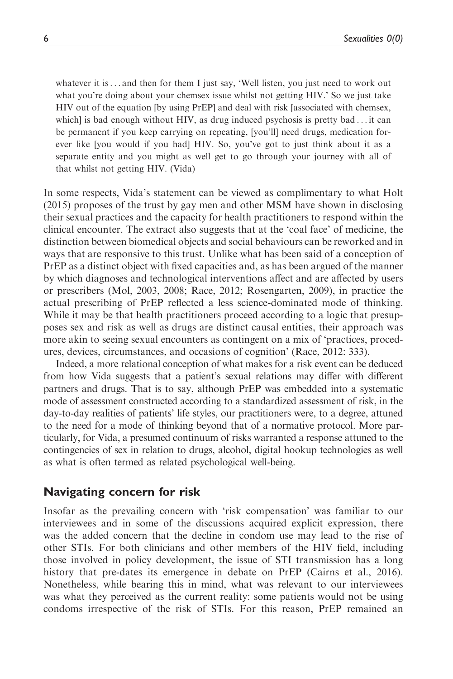whatever it is... and then for them I just say, 'Well listen, you just need to work out what you're doing about your chemsex issue whilst not getting HIV.' So we just take HIV out of the equation [by using PrEP] and deal with risk [associated with chemsex, which] is bad enough without HIV, as drug induced psychosis is pretty bad ... it can be permanent if you keep carrying on repeating, [you'll] need drugs, medication forever like [you would if you had] HIV. So, you've got to just think about it as a separate entity and you might as well get to go through your journey with all of that whilst not getting HIV. (Vida)

In some respects, Vida's statement can be viewed as complimentary to what Holt (2015) proposes of the trust by gay men and other MSM have shown in disclosing their sexual practices and the capacity for health practitioners to respond within the clinical encounter. The extract also suggests that at the 'coal face' of medicine, the distinction between biomedical objects and social behaviours can be reworked and in ways that are responsive to this trust. Unlike what has been said of a conception of PrEP as a distinct object with fixed capacities and, as has been argued of the manner by which diagnoses and technological interventions affect and are affected by users or prescribers (Mol, 2003, 2008; Race, 2012; Rosengarten, 2009), in practice the actual prescribing of PrEP reflected a less science-dominated mode of thinking. While it may be that health practitioners proceed according to a logic that presupposes sex and risk as well as drugs are distinct causal entities, their approach was more akin to seeing sexual encounters as contingent on a mix of 'practices, procedures, devices, circumstances, and occasions of cognition' (Race, 2012: 333).

Indeed, a more relational conception of what makes for a risk event can be deduced from how Vida suggests that a patient's sexual relations may differ with different partners and drugs. That is to say, although PrEP was embedded into a systematic mode of assessment constructed according to a standardized assessment of risk, in the day-to-day realities of patients' life styles, our practitioners were, to a degree, attuned to the need for a mode of thinking beyond that of a normative protocol. More particularly, for Vida, a presumed continuum of risks warranted a response attuned to the contingencies of sex in relation to drugs, alcohol, digital hookup technologies as well as what is often termed as related psychological well-being.

## Navigating concern for risk

Insofar as the prevailing concern with 'risk compensation' was familiar to our interviewees and in some of the discussions acquired explicit expression, there was the added concern that the decline in condom use may lead to the rise of other STIs. For both clinicians and other members of the HIV field, including those involved in policy development, the issue of STI transmission has a long history that pre-dates its emergence in debate on PrEP (Cairns et al., 2016). Nonetheless, while bearing this in mind, what was relevant to our interviewees was what they perceived as the current reality: some patients would not be using condoms irrespective of the risk of STIs. For this reason, PrEP remained an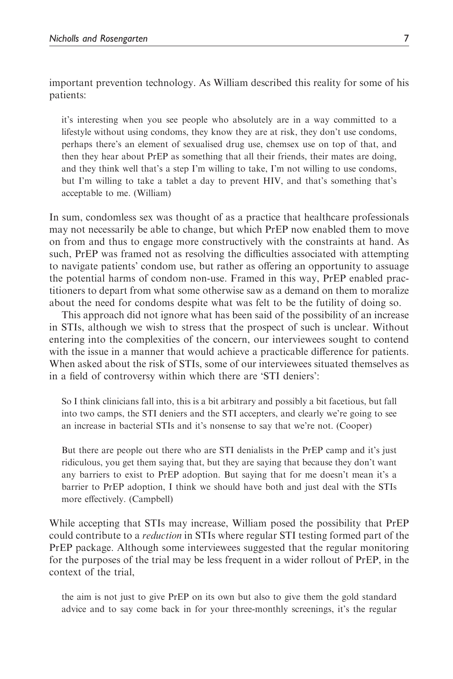important prevention technology. As William described this reality for some of his patients:

it's interesting when you see people who absolutely are in a way committed to a lifestyle without using condoms, they know they are at risk, they don't use condoms, perhaps there's an element of sexualised drug use, chemsex use on top of that, and then they hear about PrEP as something that all their friends, their mates are doing, and they think well that's a step I'm willing to take, I'm not willing to use condoms, but I'm willing to take a tablet a day to prevent HIV, and that's something that's acceptable to me. (William)

In sum, condomless sex was thought of as a practice that healthcare professionals may not necessarily be able to change, but which PrEP now enabled them to move on from and thus to engage more constructively with the constraints at hand. As such, PrEP was framed not as resolving the difficulties associated with attempting to navigate patients' condom use, but rather as offering an opportunity to assuage the potential harms of condom non-use. Framed in this way, PrEP enabled practitioners to depart from what some otherwise saw as a demand on them to moralize about the need for condoms despite what was felt to be the futility of doing so.

This approach did not ignore what has been said of the possibility of an increase in STIs, although we wish to stress that the prospect of such is unclear. Without entering into the complexities of the concern, our interviewees sought to contend with the issue in a manner that would achieve a practicable difference for patients. When asked about the risk of STIs, some of our interviewees situated themselves as in a field of controversy within which there are 'STI deniers':

So I think clinicians fall into, this is a bit arbitrary and possibly a bit facetious, but fall into two camps, the STI deniers and the STI accepters, and clearly we're going to see an increase in bacterial STIs and it's nonsense to say that we're not. (Cooper)

But there are people out there who are STI denialists in the PrEP camp and it's just ridiculous, you get them saying that, but they are saying that because they don't want any barriers to exist to PrEP adoption. But saying that for me doesn't mean it's a barrier to PrEP adoption, I think we should have both and just deal with the STIs more effectively. (Campbell)

While accepting that STIs may increase, William posed the possibility that PrEP could contribute to a *reduction* in STIs where regular STI testing formed part of the PrEP package. Although some interviewees suggested that the regular monitoring for the purposes of the trial may be less frequent in a wider rollout of PrEP, in the context of the trial,

the aim is not just to give PrEP on its own but also to give them the gold standard advice and to say come back in for your three-monthly screenings, it's the regular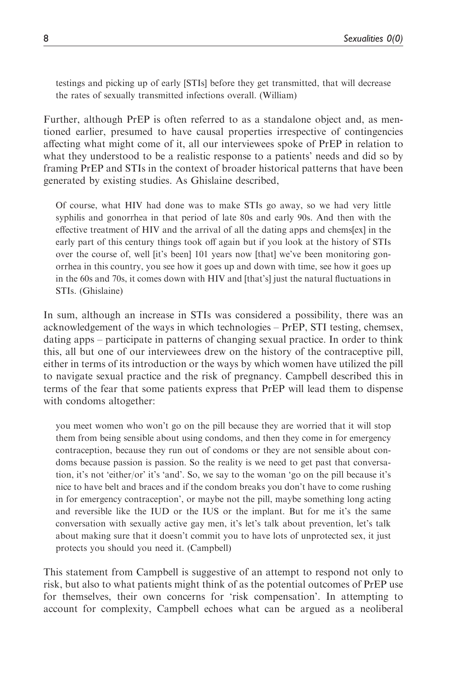testings and picking up of early [STIs] before they get transmitted, that will decrease the rates of sexually transmitted infections overall. (William)

Further, although PrEP is often referred to as a standalone object and, as mentioned earlier, presumed to have causal properties irrespective of contingencies affecting what might come of it, all our interviewees spoke of PrEP in relation to what they understood to be a realistic response to a patients' needs and did so by framing PrEP and STIs in the context of broader historical patterns that have been generated by existing studies. As Ghislaine described,

Of course, what HIV had done was to make STIs go away, so we had very little syphilis and gonorrhea in that period of late 80s and early 90s. And then with the effective treatment of HIV and the arrival of all the dating apps and chems[ex] in the early part of this century things took off again but if you look at the history of STIs over the course of, well [it's been] 101 years now [that] we've been monitoring gonorrhea in this country, you see how it goes up and down with time, see how it goes up in the 60s and 70s, it comes down with HIV and [that's] just the natural fluctuations in STIs. (Ghislaine)

In sum, although an increase in STIs was considered a possibility, there was an acknowledgement of the ways in which technologies – PrEP, STI testing, chemsex, dating apps – participate in patterns of changing sexual practice. In order to think this, all but one of our interviewees drew on the history of the contraceptive pill, either in terms of its introduction or the ways by which women have utilized the pill to navigate sexual practice and the risk of pregnancy. Campbell described this in terms of the fear that some patients express that PrEP will lead them to dispense with condoms altogether:

you meet women who won't go on the pill because they are worried that it will stop them from being sensible about using condoms, and then they come in for emergency contraception, because they run out of condoms or they are not sensible about condoms because passion is passion. So the reality is we need to get past that conversation, it's not 'either/or' it's 'and'. So, we say to the woman 'go on the pill because it's nice to have belt and braces and if the condom breaks you don't have to come rushing in for emergency contraception', or maybe not the pill, maybe something long acting and reversible like the IUD or the IUS or the implant. But for me it's the same conversation with sexually active gay men, it's let's talk about prevention, let's talk about making sure that it doesn't commit you to have lots of unprotected sex, it just protects you should you need it. (Campbell)

This statement from Campbell is suggestive of an attempt to respond not only to risk, but also to what patients might think of as the potential outcomes of PrEP use for themselves, their own concerns for 'risk compensation'. In attempting to account for complexity, Campbell echoes what can be argued as a neoliberal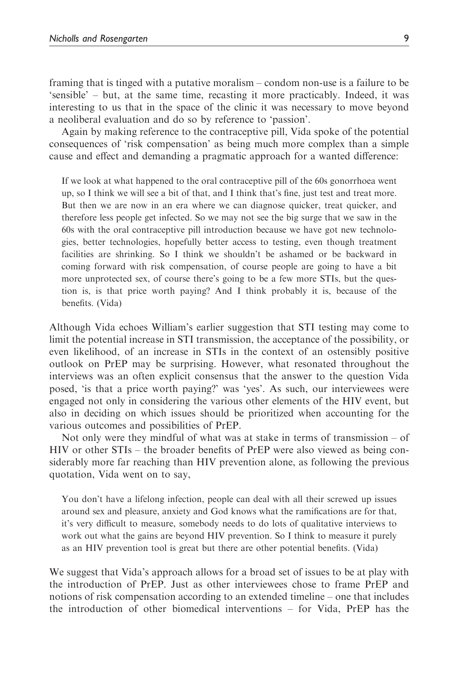framing that is tinged with a putative moralism – condom non-use is a failure to be 'sensible' – but, at the same time, recasting it more practicably. Indeed, it was interesting to us that in the space of the clinic it was necessary to move beyond a neoliberal evaluation and do so by reference to 'passion'.

Again by making reference to the contraceptive pill, Vida spoke of the potential consequences of 'risk compensation' as being much more complex than a simple cause and effect and demanding a pragmatic approach for a wanted difference:

If we look at what happened to the oral contraceptive pill of the 60s gonorrhoea went up, so I think we will see a bit of that, and I think that's fine, just test and treat more. But then we are now in an era where we can diagnose quicker, treat quicker, and therefore less people get infected. So we may not see the big surge that we saw in the 60s with the oral contraceptive pill introduction because we have got new technologies, better technologies, hopefully better access to testing, even though treatment facilities are shrinking. So I think we shouldn't be ashamed or be backward in coming forward with risk compensation, of course people are going to have a bit more unprotected sex, of course there's going to be a few more STIs, but the question is, is that price worth paying? And I think probably it is, because of the benefits. (Vida)

Although Vida echoes William's earlier suggestion that STI testing may come to limit the potential increase in STI transmission, the acceptance of the possibility, or even likelihood, of an increase in STIs in the context of an ostensibly positive outlook on PrEP may be surprising. However, what resonated throughout the interviews was an often explicit consensus that the answer to the question Vida posed, 'is that a price worth paying?' was 'yes'. As such, our interviewees were engaged not only in considering the various other elements of the HIV event, but also in deciding on which issues should be prioritized when accounting for the various outcomes and possibilities of PrEP.

Not only were they mindful of what was at stake in terms of transmission  $-$  of HIV or other STIs – the broader benefits of PrEP were also viewed as being considerably more far reaching than HIV prevention alone, as following the previous quotation, Vida went on to say,

You don't have a lifelong infection, people can deal with all their screwed up issues around sex and pleasure, anxiety and God knows what the ramifications are for that, it's very difficult to measure, somebody needs to do lots of qualitative interviews to work out what the gains are beyond HIV prevention. So I think to measure it purely as an HIV prevention tool is great but there are other potential benefits. (Vida)

We suggest that Vida's approach allows for a broad set of issues to be at play with the introduction of PrEP. Just as other interviewees chose to frame PrEP and notions of risk compensation according to an extended timeline – one that includes the introduction of other biomedical interventions – for Vida, PrEP has the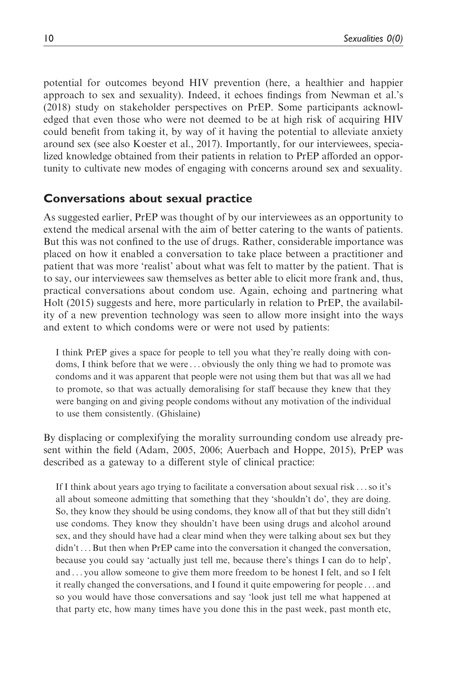potential for outcomes beyond HIV prevention (here, a healthier and happier approach to sex and sexuality). Indeed, it echoes findings from Newman et al.'s (2018) study on stakeholder perspectives on PrEP. Some participants acknowledged that even those who were not deemed to be at high risk of acquiring HIV could benefit from taking it, by way of it having the potential to alleviate anxiety around sex (see also Koester et al., 2017). Importantly, for our interviewees, specialized knowledge obtained from their patients in relation to PrEP afforded an opportunity to cultivate new modes of engaging with concerns around sex and sexuality.

## Conversations about sexual practice

As suggested earlier, PrEP was thought of by our interviewees as an opportunity to extend the medical arsenal with the aim of better catering to the wants of patients. But this was not confined to the use of drugs. Rather, considerable importance was placed on how it enabled a conversation to take place between a practitioner and patient that was more 'realist' about what was felt to matter by the patient. That is to say, our interviewees saw themselves as better able to elicit more frank and, thus, practical conversations about condom use. Again, echoing and partnering what Holt (2015) suggests and here, more particularly in relation to PrEP, the availability of a new prevention technology was seen to allow more insight into the ways and extent to which condoms were or were not used by patients:

I think PrEP gives a space for people to tell you what they're really doing with condoms, I think before that we were ... obviously the only thing we had to promote was condoms and it was apparent that people were not using them but that was all we had to promote, so that was actually demoralising for staff because they knew that they were banging on and giving people condoms without any motivation of the individual to use them consistently. (Ghislaine)

By displacing or complexifying the morality surrounding condom use already present within the field (Adam, 2005, 2006; Auerbach and Hoppe, 2015), PrEP was described as a gateway to a different style of clinical practice:

If I think about years ago trying to facilitate a conversation about sexual risk ...so it's all about someone admitting that something that they 'shouldn't do', they are doing. So, they know they should be using condoms, they know all of that but they still didn't use condoms. They know they shouldn't have been using drugs and alcohol around sex, and they should have had a clear mind when they were talking about sex but they didn't ...But then when PrEP came into the conversation it changed the conversation, because you could say 'actually just tell me, because there's things I can do to help', and ... you allow someone to give them more freedom to be honest I felt, and so I felt it really changed the conversations, and I found it quite empowering for people ... and so you would have those conversations and say 'look just tell me what happened at that party etc, how many times have you done this in the past week, past month etc,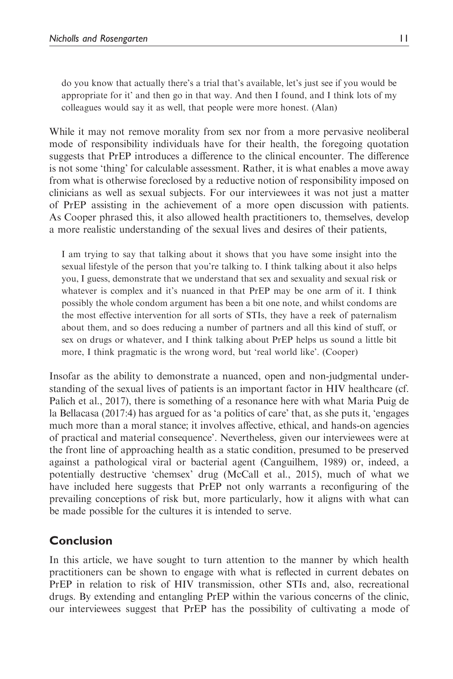do you know that actually there's a trial that's available, let's just see if you would be appropriate for it' and then go in that way. And then I found, and I think lots of my colleagues would say it as well, that people were more honest. (Alan)

While it may not remove morality from sex nor from a more pervasive neoliberal mode of responsibility individuals have for their health, the foregoing quotation suggests that PrEP introduces a difference to the clinical encounter. The difference is not some 'thing' for calculable assessment. Rather, it is what enables a move away from what is otherwise foreclosed by a reductive notion of responsibility imposed on clinicians as well as sexual subjects. For our interviewees it was not just a matter of PrEP assisting in the achievement of a more open discussion with patients. As Cooper phrased this, it also allowed health practitioners to, themselves, develop a more realistic understanding of the sexual lives and desires of their patients,

I am trying to say that talking about it shows that you have some insight into the sexual lifestyle of the person that you're talking to. I think talking about it also helps you, I guess, demonstrate that we understand that sex and sexuality and sexual risk or whatever is complex and it's nuanced in that PrEP may be one arm of it. I think possibly the whole condom argument has been a bit one note, and whilst condoms are the most effective intervention for all sorts of STIs, they have a reek of paternalism about them, and so does reducing a number of partners and all this kind of stuff, or sex on drugs or whatever, and I think talking about PrEP helps us sound a little bit more, I think pragmatic is the wrong word, but 'real world like'. (Cooper)

Insofar as the ability to demonstrate a nuanced, open and non-judgmental understanding of the sexual lives of patients is an important factor in HIV healthcare (cf. Palich et al., 2017), there is something of a resonance here with what Maria Puig de la Bellacasa (2017:4) has argued for as 'a politics of care' that, as she puts it, 'engages much more than a moral stance; it involves affective, ethical, and hands-on agencies of practical and material consequence'. Nevertheless, given our interviewees were at the front line of approaching health as a static condition, presumed to be preserved against a pathological viral or bacterial agent (Canguilhem, 1989) or, indeed, a potentially destructive 'chemsex' drug (McCall et al., 2015), much of what we have included here suggests that PrEP not only warrants a reconfiguring of the prevailing conceptions of risk but, more particularly, how it aligns with what can be made possible for the cultures it is intended to serve.

## Conclusion

In this article, we have sought to turn attention to the manner by which health practitioners can be shown to engage with what is reflected in current debates on PrEP in relation to risk of HIV transmission, other STIs and, also, recreational drugs. By extending and entangling PrEP within the various concerns of the clinic, our interviewees suggest that PrEP has the possibility of cultivating a mode of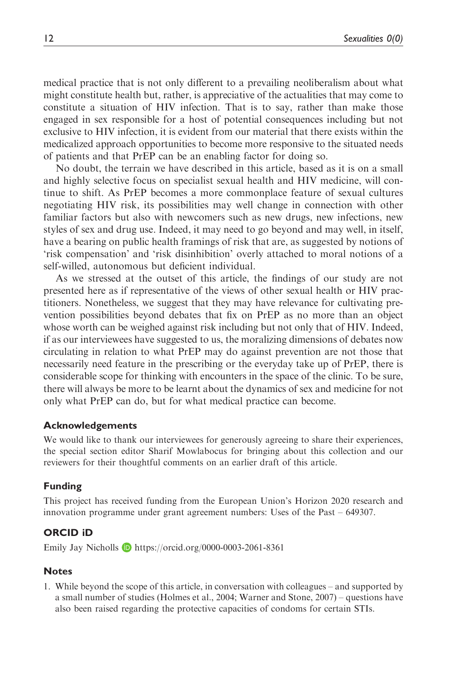medical practice that is not only different to a prevailing neoliberalism about what might constitute health but, rather, is appreciative of the actualities that may come to constitute a situation of HIV infection. That is to say, rather than make those engaged in sex responsible for a host of potential consequences including but not exclusive to HIV infection, it is evident from our material that there exists within the medicalized approach opportunities to become more responsive to the situated needs of patients and that PrEP can be an enabling factor for doing so.

No doubt, the terrain we have described in this article, based as it is on a small and highly selective focus on specialist sexual health and HIV medicine, will continue to shift. As PrEP becomes a more commonplace feature of sexual cultures negotiating HIV risk, its possibilities may well change in connection with other familiar factors but also with newcomers such as new drugs, new infections, new styles of sex and drug use. Indeed, it may need to go beyond and may well, in itself, have a bearing on public health framings of risk that are, as suggested by notions of 'risk compensation' and 'risk disinhibition' overly attached to moral notions of a self-willed, autonomous but deficient individual.

As we stressed at the outset of this article, the findings of our study are not presented here as if representative of the views of other sexual health or HIV practitioners. Nonetheless, we suggest that they may have relevance for cultivating prevention possibilities beyond debates that fix on PrEP as no more than an object whose worth can be weighed against risk including but not only that of HIV. Indeed, if as our interviewees have suggested to us, the moralizing dimensions of debates now circulating in relation to what PrEP may do against prevention are not those that necessarily need feature in the prescribing or the everyday take up of PrEP, there is considerable scope for thinking with encounters in the space of the clinic. To be sure, there will always be more to be learnt about the dynamics of sex and medicine for not only what PrEP can do, but for what medical practice can become.

#### Acknowledgements

We would like to thank our interviewees for generously agreeing to share their experiences, the special section editor Sharif Mowlabocus for bringing about this collection and our reviewers for their thoughtful comments on an earlier draft of this article.

#### Funding

This project has received funding from the European Union's Horizon 2020 research and innovation programme under grant agreement numbers: Uses of the Past – 649307.

#### ORCID iD

Emily Jay Nicholls **D** https://orcid.org/0000-0003-2061-8361

#### **Notes**

1. While beyond the scope of this article, in conversation with colleagues – and supported by a small number of studies (Holmes et al., 2004; Warner and Stone, 2007) – questions have also been raised regarding the protective capacities of condoms for certain STIs.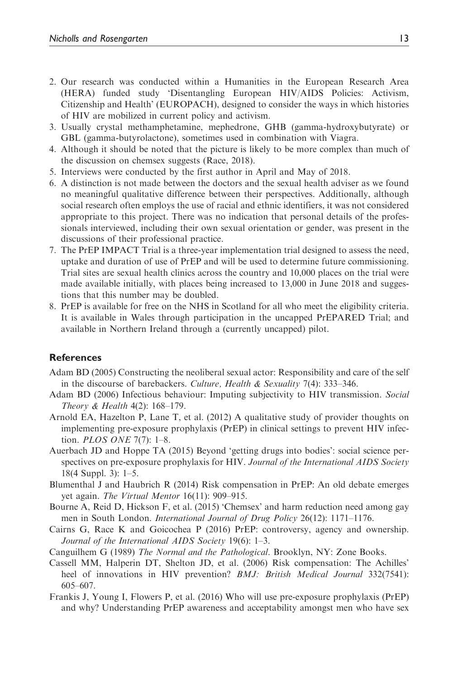- 2. Our research was conducted within a Humanities in the European Research Area (HERA) funded study 'Disentangling European HIV/AIDS Policies: Activism, Citizenship and Health' (EUROPACH), designed to consider the ways in which histories of HIV are mobilized in current policy and activism.
- 3. Usually crystal methamphetamine, mephedrone, GHB (gamma-hydroxybutyrate) or GBL (gamma-butyrolactone), sometimes used in combination with Viagra.
- 4. Although it should be noted that the picture is likely to be more complex than much of the discussion on chemsex suggests (Race, 2018).
- 5. Interviews were conducted by the first author in April and May of 2018.
- 6. A distinction is not made between the doctors and the sexual health adviser as we found no meaningful qualitative difference between their perspectives. Additionally, although social research often employs the use of racial and ethnic identifiers, it was not considered appropriate to this project. There was no indication that personal details of the professionals interviewed, including their own sexual orientation or gender, was present in the discussions of their professional practice.
- 7. The PrEP IMPACT Trial is a three-year implementation trial designed to assess the need, uptake and duration of use of PrEP and will be used to determine future commissioning. Trial sites are sexual health clinics across the country and 10,000 places on the trial were made available initially, with places being increased to 13,000 in June 2018 and suggestions that this number may be doubled.
- 8. PrEP is available for free on the NHS in Scotland for all who meet the eligibility criteria. It is available in Wales through participation in the uncapped PrEPARED Trial; and available in Northern Ireland through a (currently uncapped) pilot.

#### References

- Adam BD (2005) Constructing the neoliberal sexual actor: Responsibility and care of the self in the discourse of barebackers. Culture, Health & Sexuality 7(4): 333–346.
- Adam BD (2006) Infectious behaviour: Imputing subjectivity to HIV transmission. Social Theory & Health 4(2): 168–179.
- Arnold EA, Hazelton P, Lane T, et al. (2012) A qualitative study of provider thoughts on implementing pre-exposure prophylaxis (PrEP) in clinical settings to prevent HIV infection. PLOS ONE 7(7): 1–8.
- Auerbach JD and Hoppe TA (2015) Beyond 'getting drugs into bodies': social science perspectives on pre-exposure prophylaxis for HIV. Journal of the International AIDS Society 18(4 Suppl. 3): 1–5.
- Blumenthal J and Haubrich R (2014) Risk compensation in PrEP: An old debate emerges yet again. The Virtual Mentor 16(11): 909–915.
- Bourne A, Reid D, Hickson F, et al. (2015) 'Chemsex' and harm reduction need among gay men in South London. *International Journal of Drug Policy* 26(12): 1171–1176.
- Cairns G, Race K and Goicochea P (2016) PrEP: controversy, agency and ownership. Journal of the International AIDS Society 19(6): 1–3.
- Canguilhem G (1989) The Normal and the Pathological. Brooklyn, NY: Zone Books.
- Cassell MM, Halperin DT, Shelton JD, et al. (2006) Risk compensation: The Achilles' heel of innovations in HIV prevention? *BMJ: British Medical Journal* 332(7541): 605–607.
- Frankis J, Young I, Flowers P, et al. (2016) Who will use pre-exposure prophylaxis (PrEP) and why? Understanding PrEP awareness and acceptability amongst men who have sex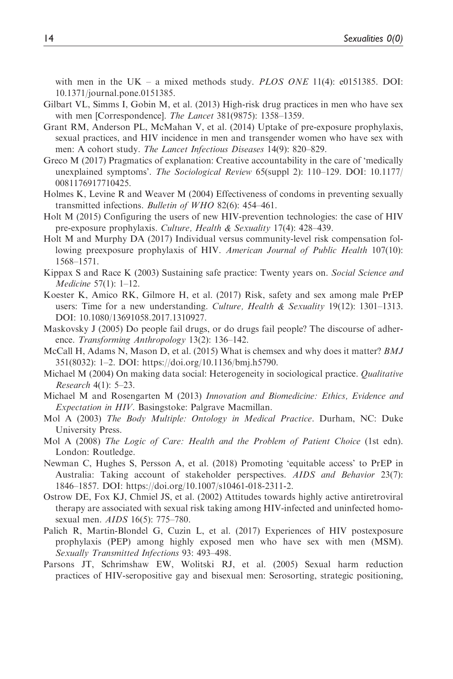with men in the UK – a mixed methods study. PLOS ONE 11(4):  $e0151385$ . DOI: 10.1371/journal.pone.0151385.

- Gilbart VL, Simms I, Gobin M, et al. (2013) High-risk drug practices in men who have sex with men [Correspondence]. The Lancet 381(9875): 1358–1359.
- Grant RM, Anderson PL, McMahan V, et al. (2014) Uptake of pre-exposure prophylaxis, sexual practices, and HIV incidence in men and transgender women who have sex with men: A cohort study. The Lancet Infectious Diseases 14(9): 820–829.
- Greco M (2017) Pragmatics of explanation: Creative accountability in the care of 'medically unexplained symptoms'. The Sociological Review 65(suppl 2): 110–129. DOI: 10.1177/ 0081176917710425.
- Holmes K, Levine R and Weaver M (2004) Effectiveness of condoms in preventing sexually transmitted infections. Bulletin of WHO 82(6): 454–461.
- Holt M (2015) Configuring the users of new HIV-prevention technologies: the case of HIV pre-exposure prophylaxis. Culture, Health & Sexuality 17(4): 428–439.
- Holt M and Murphy DA (2017) Individual versus community-level risk compensation following preexposure prophylaxis of HIV. American Journal of Public Health 107(10): 1568–1571.
- Kippax S and Race K (2003) Sustaining safe practice: Twenty years on. Social Science and Medicine 57(1): 1–12.
- Koester K, Amico RK, Gilmore H, et al. (2017) Risk, safety and sex among male PrEP users: Time for a new understanding. Culture, Health & Sexuality 19(12): 1301–1313. DOI: 10.1080/13691058.2017.1310927.
- Maskovsky J (2005) Do people fail drugs, or do drugs fail people? The discourse of adherence. Transforming Anthropology 13(2): 136–142.
- McCall H, Adams N, Mason D, et al. (2015) What is chemsex and why does it matter? BMJ 351(8032): 1–2. DOI: [https://doi.org/10.1136/bmj.h5790.](https://doi.org/10.1136/bmj.h5790)
- Michael M (2004) On making data social: Heterogeneity in sociological practice. *Qualitative* Research 4(1): 5–23.
- Michael M and Rosengarten M (2013) Innovation and Biomedicine: Ethics, Evidence and Expectation in HIV. Basingstoke: Palgrave Macmillan.
- Mol A (2003) The Body Multiple: Ontology in Medical Practice. Durham, NC: Duke University Press.
- Mol A (2008) The Logic of Care: Health and the Problem of Patient Choice (1st edn). London: Routledge.
- Newman C, Hughes S, Persson A, et al. (2018) Promoting 'equitable access' to PrEP in Australia: Taking account of stakeholder perspectives. AIDS and Behavior 23(7): 1846–1857. DOI:<https://doi.org/10.1007/s10461-018-2311-2>.
- Ostrow DE, Fox KJ, Chmiel JS, et al. (2002) Attitudes towards highly active antiretroviral therapy are associated with sexual risk taking among HIV-infected and uninfected homosexual men. AIDS 16(5): 775–780.
- Palich R, Martin-Blondel G, Cuzin L, et al. (2017) Experiences of HIV postexposure prophylaxis (PEP) among highly exposed men who have sex with men (MSM). Sexually Transmitted Infections 93: 493–498.
- Parsons JT, Schrimshaw EW, Wolitski RJ, et al. (2005) Sexual harm reduction practices of HIV-seropositive gay and bisexual men: Serosorting, strategic positioning,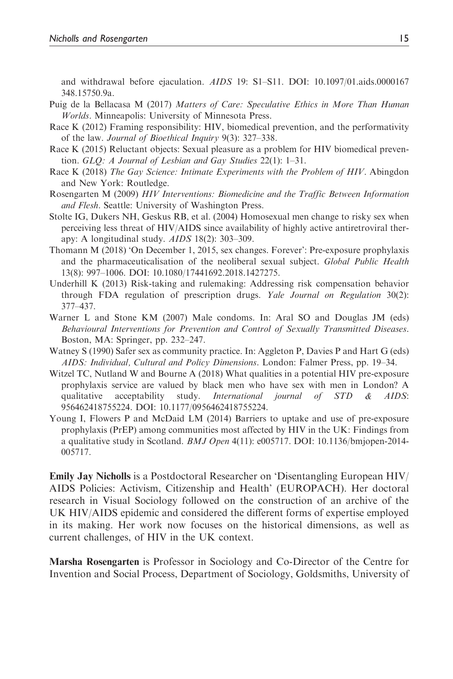and withdrawal before ejaculation. AIDS 19: S1–S11. DOI: 10.1097/01.aids.0000167 348.15750.9a.

- Puig de la Bellacasa M (2017) Matters of Care: Speculative Ethics in More Than Human Worlds. Minneapolis: University of Minnesota Press.
- Race K (2012) Framing responsibility: HIV, biomedical prevention, and the performativity of the law. Journal of Bioethical Inquiry 9(3): 327–338.
- Race K (2015) Reluctant objects: Sexual pleasure as a problem for HIV biomedical prevention. GLQ: A Journal of Lesbian and Gay Studies 22(1): 1–31.
- Race K (2018) The Gay Science: Intimate Experiments with the Problem of HIV. Abingdon and New York: Routledge.
- Rosengarten M (2009) HIV Interventions: Biomedicine and the Traffic Between Information and Flesh. Seattle: University of Washington Press.
- Stolte IG, Dukers NH, Geskus RB, et al. (2004) Homosexual men change to risky sex when perceiving less threat of HIV/AIDS since availability of highly active antiretroviral therapy: A longitudinal study. AIDS 18(2): 303–309.
- Thomann M (2018) 'On December 1, 2015, sex changes. Forever': Pre-exposure prophylaxis and the pharmaceuticalisation of the neoliberal sexual subject. Global Public Health 13(8): 997–1006. DOI: 10.1080/17441692.2018.1427275.
- Underhill K (2013) Risk-taking and rulemaking: Addressing risk compensation behavior through FDA regulation of prescription drugs. Yale Journal on Regulation 30(2): 377–437.
- Warner L and Stone KM (2007) Male condoms. In: Aral SO and Douglas JM (eds) Behavioural Interventions for Prevention and Control of Sexually Transmitted Diseases. Boston, MA: Springer, pp. 232–247.
- Watney S (1990) Safer sex as community practice. In: Aggleton P, Davies P and Hart G (eds) AIDS: Individual, Cultural and Policy Dimensions. London: Falmer Press, pp. 19–34.
- Witzel TC, Nutland W and Bourne A (2018) What qualities in a potential HIV pre-exposure prophylaxis service are valued by black men who have sex with men in London? A qualitative acceptability study. International journal of STD & AIDS: 956462418755224. DOI: 10.1177/0956462418755224.
- Young I, Flowers P and McDaid LM (2014) Barriers to uptake and use of pre-exposure prophylaxis (PrEP) among communities most affected by HIV in the UK: Findings from a qualitative study in Scotland. BMJ Open 4(11): e005717. DOI: 10.1136/bmjopen-2014- 005717.

Emily Jay Nicholls is a Postdoctoral Researcher on 'Disentangling European HIV/ AIDS Policies: Activism, Citizenship and Health' (EUROPACH). Her doctoral research in Visual Sociology followed on the construction of an archive of the UK HIV/AIDS epidemic and considered the different forms of expertise employed in its making. Her work now focuses on the historical dimensions, as well as current challenges, of HIV in the UK context.

Marsha Rosengarten is Professor in Sociology and Co-Director of the Centre for Invention and Social Process, Department of Sociology, Goldsmiths, University of